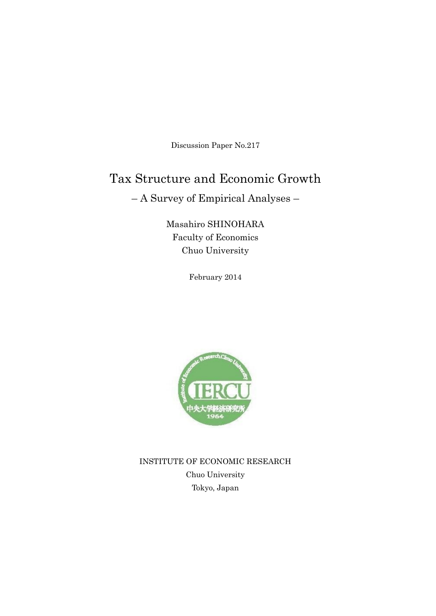Discussion Paper No.217

## Tax Structure and Economic Growth

– A Survey of Empirical Analyses –

Masahiro SHINOHARA Faculty of Economics Chuo University

February 2014



INSTITUTE OF ECONOMIC RESEARCH Chuo University Tokyo, Japan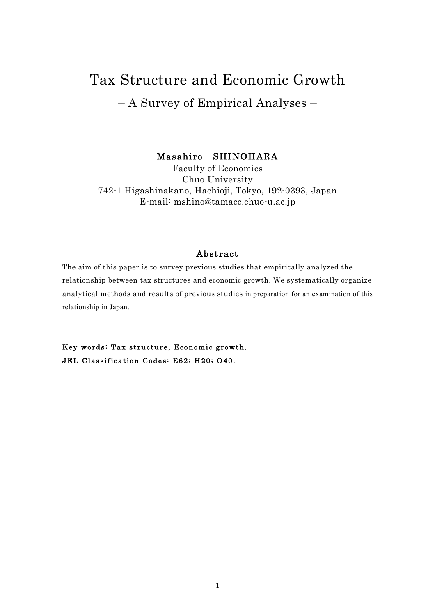# Tax Structure and Economic Growth – A Survey of Empirical Analyses –

Masahiro SHINOHARA

Faculty of Economics Chuo University 742-1 Higashinakano, Hachioji, Tokyo, 192-0393, Japan E-mail: mshino@tamacc.chuo-u.ac.jp

## Abstract

The aim of this paper is to survey previous studies that empirically analyzed the relationship between tax structures and economic growth. We systematically organize analytical methods and results of previous studies in preparation for an examination of this relationship in Japan.

Key words: Tax structure, Economic growth. JEL Classification Codes: E62; H20; O40.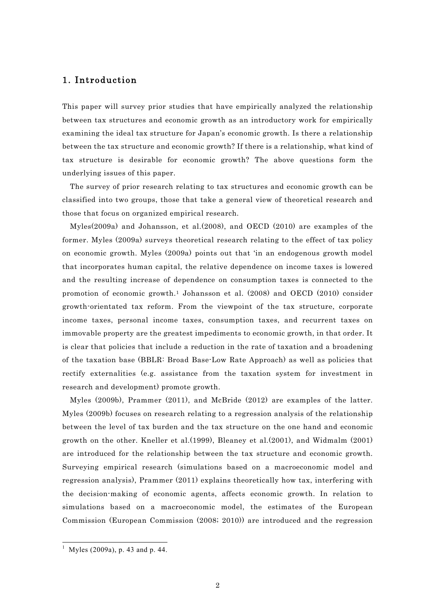## 1. Introduction

This paper will survey prior studies that have empirically analyzed the relationship between tax structures and economic growth as an introductory work for empirically examining the ideal tax structure for Japan's economic growth. Is there a relationship between the tax structure and economic growth? If there is a relationship, what kind of tax structure is desirable for economic growth? The above questions form the underlying issues of this paper.

The survey of prior research relating to tax structures and economic growth can be classified into two groups, those that take a general view of theoretical research and those that focus on organized empirical research.

Myles(2009a) and Johansson, et al.(2008), and OECD (2010) are examples of the former. Myles (2009a) surveys theoretical research relating to the effect of tax policy on economic growth. Myles (2009a) points out that 'in an endogenous growth model that incorporates human capital, the relative dependence on income taxes is lowered and the resulting increase of dependence on consumption taxes is connected to the promotion of economic growth.1 Johansson et al. (2008) and OECD (2010) consider growth-orientated tax reform. From the viewpoint of the tax structure, corporate income taxes, personal income taxes, consumption taxes, and recurrent taxes on immovable property are the greatest impediments to economic growth, in that order. It is clear that policies that include a reduction in the rate of taxation and a broadening of the taxation base (BBLR: Broad Base-Low Rate Approach) as well as policies that rectify externalities (e.g. assistance from the taxation system for investment in research and development) promote growth.

Myles (2009b), Prammer (2011), and McBride (2012) are examples of the latter. Myles (2009b) focuses on research relating to a regression analysis of the relationship between the level of tax burden and the tax structure on the one hand and economic growth on the other. Kneller et al.(1999), Bleaney et al.(2001), and Widmalm (2001) are introduced for the relationship between the tax structure and economic growth. Surveying empirical research (simulations based on a macroeconomic model and regression analysis), Prammer (2011) explains theoretically how tax, interfering with the decision-making of economic agents, affects economic growth. In relation to simulations based on a macroeconomic model, the estimates of the European Commission (European Commission (2008; 2010)) are introduced and the regression

<sup>&</sup>lt;sup>1</sup> Myles (2009a), p. 43 and p. 44.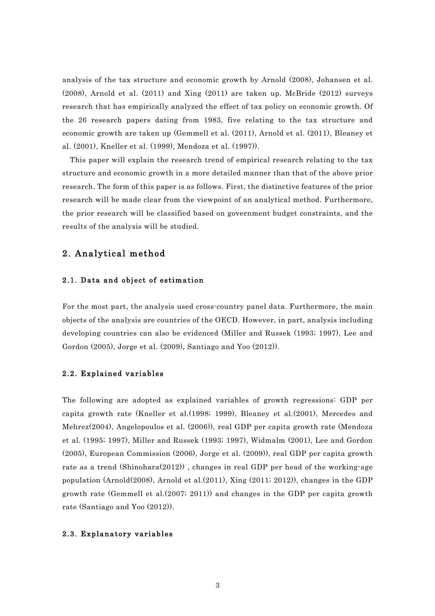analysis of the tax structure and economic growth by Arnold (2008), Johansen et al. (2008), Arnold et al. (2011) and Xing (2011) are taken up. McBride (2012) surveys research that has empirically analyzed the effect of tax policy on economic growth. Of the 26 research papers dating from 1983, five relating to the tax structure and economic growth are taken up (Gemmell et al. (2011), Arnold et al. (2011), Bleaney et al. (2001), Kneller et al. (1999), Mendoza et al. (1997)).

This paper will explain the research trend of empirical research relating to the tax structure and economic growth in a more detailed manner than that of the above prior research. The form of this paper is as follows. First, the distinctive features of the prior research will be made clear from the viewpoint of an analytical method. Furthermore, the prior research will be classified based on government budget constraints, and the results of the analysis will be studied.

## 2. Analytical method

## 2.1. Data and object of estimation

For the most part, the analysis used cross-country panel data. Furthermore, the main objects of the analysis are countries of the OECD. However, in part, analysis including developing countries can also be evidenced (Miller and Russek (1993; 1997), Lee and Gordon (2005), Jorge et al. (2009), Santiago and Yoo (2012)).

## 2.2. Explained variables

The following are adopted as explained variables of growth regressions: GDP per capita growth rate (Kneller et al.(1998; 1999), Bleaney et al.(2001), Mercedes and Mehrez(2004), Angelopoulos et al. (2006)), real GDP per capita growth rate (Mendoza et al. (1995; 1997), Miller and Russek (1993; 1997), Widmalm (2001), Lee and Gordon (2005), European Commission (2006), Jorge et al. (2009)), real GDP per capita growth rate as a trend (Shinohara(2012)) , changes in real GDP per head of the working-age population (Arnold(2008), Arnold et al.(2011), Xing (2011; 2012)), changes in the GDP growth rate (Gemmell et al.(2007; 2011)) and changes in the GDP per capita growth rate (Santiago and Yoo (2012)).

## 2.3. Explanatory variables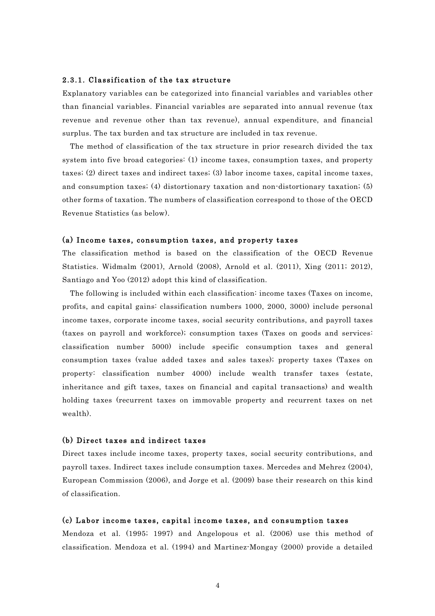#### 2.3.1. Classification of the tax structure

Explanatory variables can be categorized into financial variables and variables other than financial variables. Financial variables are separated into annual revenue (tax revenue and revenue other than tax revenue), annual expenditure, and financial surplus. The tax burden and tax structure are included in tax revenue.

The method of classification of the tax structure in prior research divided the tax system into five broad categories: (1) income taxes, consumption taxes, and property taxes; (2) direct taxes and indirect taxes; (3) labor income taxes, capital income taxes, and consumption taxes; (4) distortionary taxation and non-distortionary taxation; (5) other forms of taxation. The numbers of classification correspond to those of the OECD Revenue Statistics (as below).

#### (a) Income taxes, consumption taxes, and property taxes

The classification method is based on the classification of the OECD Revenue Statistics. Widmalm (2001), Arnold (2008), Arnold et al. (2011), Xing (2011; 2012), Santiago and Yoo (2012) adopt this kind of classification.

The following is included within each classification: income taxes (Taxes on income, profits, and capital gains: classification numbers 1000, 2000, 3000) include personal income taxes, corporate income taxes, social security contributions, and payroll taxes (taxes on payroll and workforce); consumption taxes (Taxes on goods and services: classification number 5000) include specific consumption taxes and general consumption taxes (value added taxes and sales taxes); property taxes (Taxes on property: classification number 4000) include wealth transfer taxes (estate, inheritance and gift taxes, taxes on financial and capital transactions) and wealth holding taxes (recurrent taxes on immovable property and recurrent taxes on net wealth).

## (b) Direct taxes and indirect taxes

Direct taxes include income taxes, property taxes, social security contributions, and payroll taxes. Indirect taxes include consumption taxes. Mercedes and Mehrez (2004), European Commission (2006), and Jorge et al. (2009) base their research on this kind of classification.

#### (c) Labor income taxes, capital income taxes, and consumption taxes

Mendoza et al. (1995; 1997) and Angelopous et al. (2006) use this method of classification. Mendoza et al. (1994) and Martinez-Mongay (2000) provide a detailed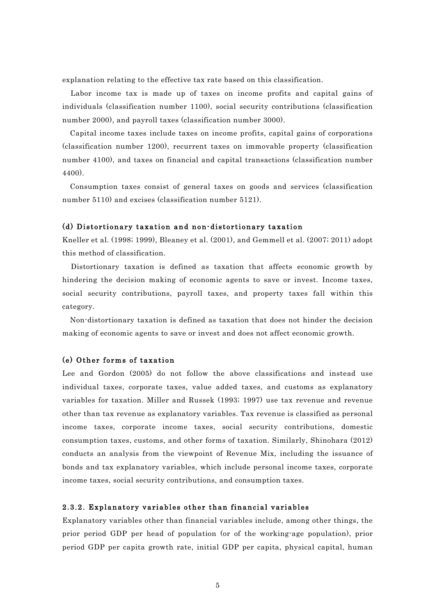explanation relating to the effective tax rate based on this classification.

Labor income tax is made up of taxes on income profits and capital gains of individuals (classification number 1100), social security contributions (classification number 2000), and payroll taxes (classification number 3000).

Capital income taxes include taxes on income profits, capital gains of corporations (classification number 1200), recurrent taxes on immovable property (classification number 4100), and taxes on financial and capital transactions (classification number 4400).

Consumption taxes consist of general taxes on goods and services (classification number 5110) and excises (classification number 5121).

## (d) Distortionary taxation and non-distortionary taxation

Kneller et al. (1998; 1999), Bleaney et al. (2001), and Gemmell et al. (2007; 2011) adopt this method of classification.

Distortionary taxation is defined as taxation that affects economic growth by hindering the decision making of economic agents to save or invest. Income taxes, social security contributions, payroll taxes, and property taxes fall within this category.

Non-distortionary taxation is defined as taxation that does not hinder the decision making of economic agents to save or invest and does not affect economic growth.

## (e) Other forms of taxation

Lee and Gordon (2005) do not follow the above classifications and instead use individual taxes, corporate taxes, value added taxes, and customs as explanatory variables for taxation. Miller and Russek (1993; 1997) use tax revenue and revenue other than tax revenue as explanatory variables. Tax revenue is classified as personal income taxes, corporate income taxes, social security contributions, domestic consumption taxes, customs, and other forms of taxation. Similarly, Shinohara (2012) conducts an analysis from the viewpoint of Revenue Mix, including the issuance of bonds and tax explanatory variables, which include personal income taxes, corporate income taxes, social security contributions, and consumption taxes.

## 2.3.2. Explanatory variables other than financial variables

Explanatory variables other than financial variables include, among other things, the prior period GDP per head of population (or of the working-age population), prior period GDP per capita growth rate, initial GDP per capita, physical capital, human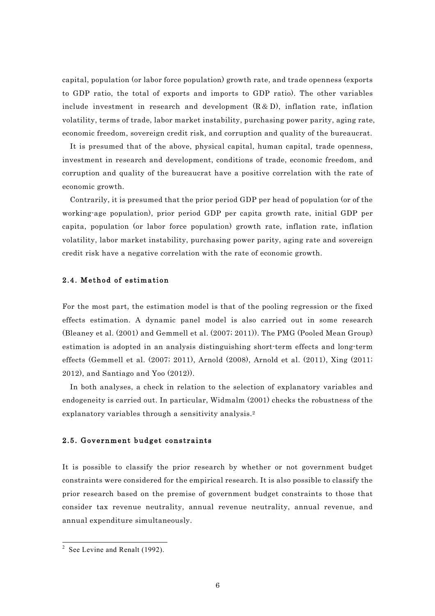capital, population (or labor force population) growth rate, and trade openness (exports to GDP ratio, the total of exports and imports to GDP ratio). The other variables include investment in research and development  $(R & D)$ , inflation rate, inflation volatility, terms of trade, labor market instability, purchasing power parity, aging rate, economic freedom, sovereign credit risk, and corruption and quality of the bureaucrat.

It is presumed that of the above, physical capital, human capital, trade openness, investment in research and development, conditions of trade, economic freedom, and corruption and quality of the bureaucrat have a positive correlation with the rate of economic growth.

Contrarily, it is presumed that the prior period GDP per head of population (or of the working-age population), prior period GDP per capita growth rate, initial GDP per capita, population (or labor force population) growth rate, inflation rate, inflation volatility, labor market instability, purchasing power parity, aging rate and sovereign credit risk have a negative correlation with the rate of economic growth.

## 2.4. Method of estimation

For the most part, the estimation model is that of the pooling regression or the fixed effects estimation. A dynamic panel model is also carried out in some research (Bleaney et al. (2001) and Gemmell et al. (2007; 2011)). The PMG (Pooled Mean Group) estimation is adopted in an analysis distinguishing short-term effects and long-term effects (Gemmell et al. (2007; 2011), Arnold (2008), Arnold et al. (2011), Xing (2011; 2012), and Santiago and Yoo (2012)).

In both analyses, a check in relation to the selection of explanatory variables and endogeneity is carried out. In particular, Widmalm (2001) checks the robustness of the explanatory variables through a sensitivity analysis.2

## 2.5. Government budget constraints

It is possible to classify the prior research by whether or not government budget constraints were considered for the empirical research. It is also possible to classify the prior research based on the premise of government budget constraints to those that consider tax revenue neutrality, annual revenue neutrality, annual revenue, and annual expenditure simultaneously.

 $2$  See Levine and Renalt (1992).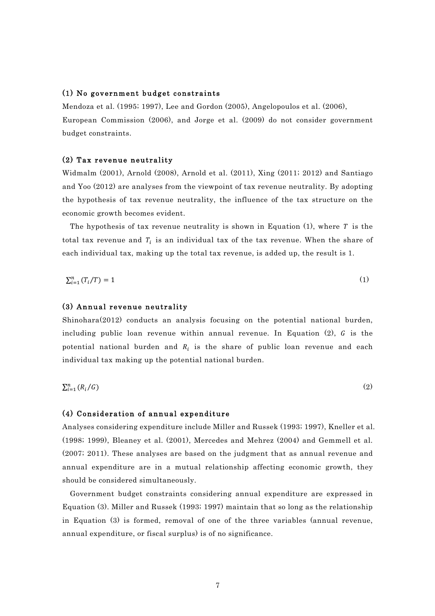#### (1) No government budget constraints

Mendoza et al. (1995; 1997), Lee and Gordon (2005), Angelopoulos et al. (2006), European Commission (2006), and Jorge et al. (2009) do not consider government budget constraints.

### (2) Tax revenue neutrality

Widmalm (2001), Arnold (2008), Arnold et al. (2011), Xing (2011; 2012) and Santiago and Yoo (2012) are analyses from the viewpoint of tax revenue neutrality. By adopting the hypothesis of tax revenue neutrality, the influence of the tax structure on the economic growth becomes evident.

The hypothesis of tax revenue neutrality is shown in Equation (1), where  $T$  is the total tax revenue and  $T_i$  is an individual tax of the tax revenue. When the share of each individual tax, making up the total tax revenue, is added up, the result is 1.

$$
\sum_{i=1}^{n} (T_i/T) = 1 \tag{1}
$$

## (3) Annual revenue neutrality

Shinohara(2012) conducts an analysis focusing on the potential national burden, including public loan revenue within annual revenue. In Equation  $(2)$ , G is the potential national burden and  $R_i$  is the share of public loan revenue and each individual tax making up the potential national burden.

 $\sum_{i=1}^n (R_i/G)$  $\sum_{i=1}^{n} (R_i/G)$  (2)

#### (4) Consideration of annual expenditure

Analyses considering expenditure include Miller and Russek (1993; 1997), Kneller et al. (1998; 1999), Bleaney et al. (2001), Mercedes and Mehrez (2004) and Gemmell et al. (2007; 2011). These analyses are based on the judgment that as annual revenue and annual expenditure are in a mutual relationship affecting economic growth, they should be considered simultaneously.

Government budget constraints considering annual expenditure are expressed in Equation (3). Miller and Russek (1993; 1997) maintain that so long as the relationship in Equation (3) is formed, removal of one of the three variables (annual revenue, annual expenditure, or fiscal surplus) is of no significance.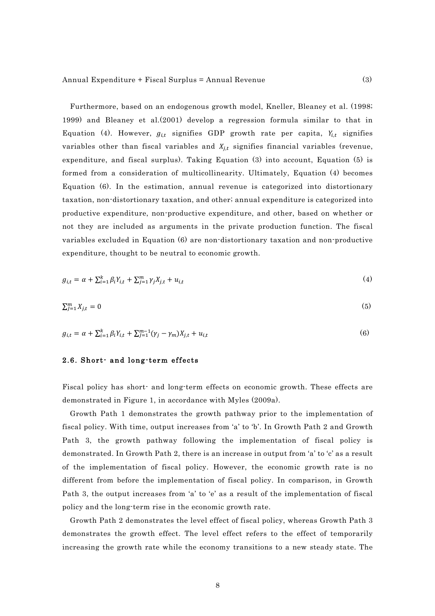Furthermore, based on an endogenous growth model, Kneller, Bleaney et al. (1998; 1999) and Bleaney et al.(2001) develop a regression formula similar to that in Equation (4). However,  $g_{i,t}$  signifies GDP growth rate per capita,  $Y_{i,t}$  signifies variables other than fiscal variables and  $X_{j,t}$  signifies financial variables (revenue, expenditure, and fiscal surplus). Taking Equation (3) into account, Equation (5) is formed from a consideration of multicollinearity. Ultimately, Equation (4) becomes Equation (6). In the estimation, annual revenue is categorized into distortionary taxation, non-distortionary taxation, and other; annual expenditure is categorized into productive expenditure, non-productive expenditure, and other, based on whether or not they are included as arguments in the private production function. The fiscal variables excluded in Equation (6) are non-distortionary taxation and non-productive expenditure, thought to be neutral to economic growth.

$$
g_{i,t} = \alpha + \sum_{i=1}^{k} \beta_i Y_{i,t} + \sum_{j=1}^{m} \gamma_j X_{j,t} + u_{i,t}
$$
\n(4)

$$
\sum_{j=1}^{m} X_{j,t} = 0 \tag{5}
$$

$$
g_{i,t} = \alpha + \sum_{i=1}^{k} \beta_i Y_{i,t} + \sum_{j=1}^{m-1} (\gamma_j - \gamma_m) X_{j,t} + u_{i,t}
$$
\n(6)

## 2.6. Short- and long-term effects

Fiscal policy has short- and long-term effects on economic growth. These effects are demonstrated in Figure 1, in accordance with Myles (2009a).

Growth Path 1 demonstrates the growth pathway prior to the implementation of fiscal policy. With time, output increases from 'a' to 'b'. In Growth Path 2 and Growth Path 3, the growth pathway following the implementation of fiscal policy is demonstrated. In Growth Path 2, there is an increase in output from 'a' to 'c' as a result of the implementation of fiscal policy. However, the economic growth rate is no different from before the implementation of fiscal policy. In comparison, in Growth Path 3, the output increases from 'a' to 'e' as a result of the implementation of fiscal policy and the long-term rise in the economic growth rate.

Growth Path 2 demonstrates the level effect of fiscal policy, whereas Growth Path 3 demonstrates the growth effect. The level effect refers to the effect of temporarily increasing the growth rate while the economy transitions to a new steady state. The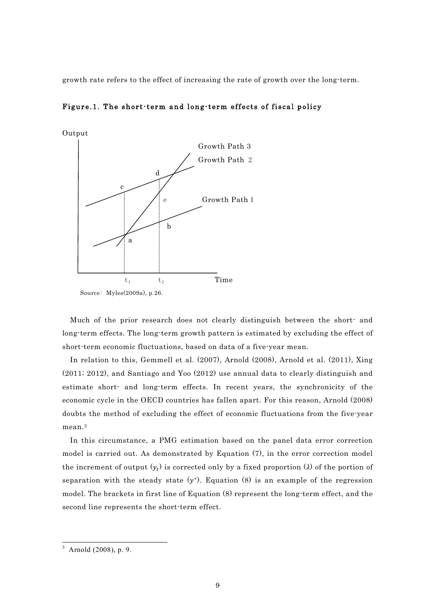growth rate refers to the effect of increasing the rate of growth over the long-term.



Figure.1. The short-term and long-term effects of fiscal policy

Much of the prior research does not clearly distinguish between the short- and long-term effects. The long-term growth pattern is estimated by excluding the effect of short-term economic fluctuations, based on data of a five-year mean.

In relation to this, Gemmell et al. (2007), Arnold (2008), Arnold et al. (2011), Xing (2011; 2012), and Santiago and Yoo (2012) use annual data to clearly distinguish and estimate short- and long-term effects. In recent years, the synchronicity of the economic cycle in the OECD countries has fallen apart. For this reason, Arnold (2008) doubts the method of excluding the effect of economic fluctuations from the five-year mean.<sup>3</sup>

In this circumstance, a PMG estimation based on the panel data error correction model is carried out. As demonstrated by Equation (7), in the error correction model the increment of output  $(y_t)$  is corrected only by a fixed proportion ( $\lambda$ ) of the portion of separation with the steady state  $(y^*)$ . Equation (8) is an example of the regression model. The brackets in first line of Equation (8) represent the long-term effect, and the second line represents the short-term effect.

<sup>3</sup> Arnold (2008), p. 9.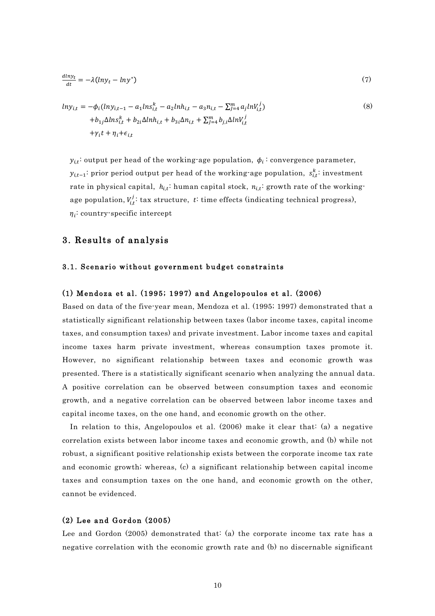$$
\frac{dlny_t}{dt} = -\lambda(lny_t - lny^*)
$$
\n(7)

$$
ln y_{i,t} = -\phi_i(ln y_{i,t-1} - a_1 ln s_{i,t}^k - a_2 ln h_{i,t} - a_3 n_{i,t} - \sum_{j=4}^m a_j ln v_{i,t}^j)
$$
  
+
$$
b_{1j} \Delta ln s_{i,t}^k + b_{2i} \Delta ln h_{i,t} + b_{3i} \Delta n_{i,t} + \sum_{j=4}^m b_{j,i} \Delta ln v_{i,t}^j
$$
  
+
$$
\gamma_i t + \eta_i + \epsilon_{i,t}
$$
 (8)

 $y_{i,t}$ : output per head of the working-age population,  $\phi_i$ : convergence parameter,  $y_{i,t-1}$ : prior period output per head of the working-age population,  $s_{i,t}^k$ : investment rate in physical capital,  $h_{i,t}$ : human capital stock,  $n_{i,t}$ : growth rate of the workingage population,  $V_{i,t}^j$ : tax structure, t: time effects (indicating technical progress),  $\eta_i$ : country-specific intercept

## 3. Results of analysis

## 3.1. Scenario without government budget constraints

## (1) Mendoza et al. (1995; 1997) and Angelopoulos et al. (2006)

Based on data of the five-year mean, Mendoza et al. (1995; 1997) demonstrated that a statistically significant relationship between taxes (labor income taxes, capital income taxes, and consumption taxes) and private investment. Labor income taxes and capital income taxes harm private investment, whereas consumption taxes promote it. However, no significant relationship between taxes and economic growth was presented. There is a statistically significant scenario when analyzing the annual data. A positive correlation can be observed between consumption taxes and economic growth, and a negative correlation can be observed between labor income taxes and capital income taxes, on the one hand, and economic growth on the other.

In relation to this, Angelopoulos et al. (2006) make it clear that: (a) a negative correlation exists between labor income taxes and economic growth, and (b) while not robust, a significant positive relationship exists between the corporate income tax rate and economic growth; whereas, (c) a significant relationship between capital income taxes and consumption taxes on the one hand, and economic growth on the other, cannot be evidenced.

## (2) Lee and Gordon (2005)

Lee and Gordon (2005) demonstrated that: (a) the corporate income tax rate has a negative correlation with the economic growth rate and (b) no discernable significant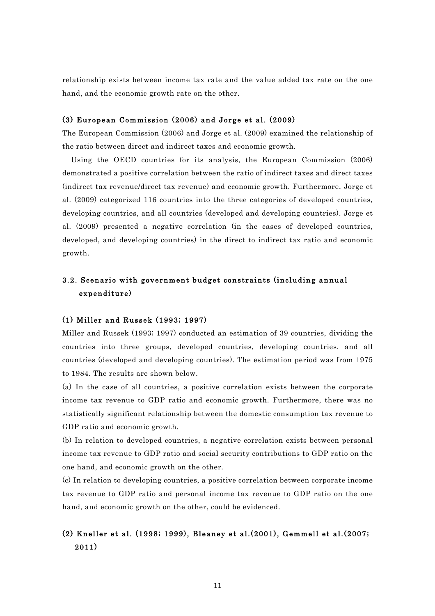relationship exists between income tax rate and the value added tax rate on the one hand, and the economic growth rate on the other.

## (3) European Commission (2006) and Jorge et al. (2009)

The European Commission (2006) and Jorge et al. (2009) examined the relationship of the ratio between direct and indirect taxes and economic growth.

Using the OECD countries for its analysis, the European Commission (2006) demonstrated a positive correlation between the ratio of indirect taxes and direct taxes (indirect tax revenue/direct tax revenue) and economic growth. Furthermore, Jorge et al. (2009) categorized 116 countries into the three categories of developed countries, developing countries, and all countries (developed and developing countries). Jorge et al. (2009) presented a negative correlation (in the cases of developed countries, developed, and developing countries) in the direct to indirect tax ratio and economic growth.

## 3.2. Scenario with government budget constraints (including annual expenditure)

## (1) Miller and Russek (1993; 1997)

Miller and Russek (1993; 1997) conducted an estimation of 39 countries, dividing the countries into three groups, developed countries, developing countries, and all countries (developed and developing countries). The estimation period was from 1975 to 1984. The results are shown below.

(a) In the case of all countries, a positive correlation exists between the corporate income tax revenue to GDP ratio and economic growth. Furthermore, there was no statistically significant relationship between the domestic consumption tax revenue to GDP ratio and economic growth.

(b) In relation to developed countries, a negative correlation exists between personal income tax revenue to GDP ratio and social security contributions to GDP ratio on the one hand, and economic growth on the other.

(c) In relation to developing countries, a positive correlation between corporate income tax revenue to GDP ratio and personal income tax revenue to GDP ratio on the one hand, and economic growth on the other, could be evidenced.

## (2) Kneller et al. (1998; 1999), Bleaney et al.(2001), Gemmell et al.(2007; 2011)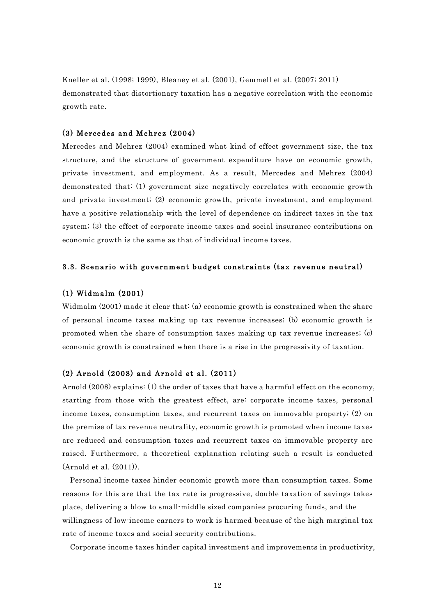Kneller et al. (1998; 1999), Bleaney et al. (2001), Gemmell et al. (2007; 2011) demonstrated that distortionary taxation has a negative correlation with the economic growth rate.

## (3) Mercedes and Mehrez (2004)

Mercedes and Mehrez (2004) examined what kind of effect government size, the tax structure, and the structure of government expenditure have on economic growth, private investment, and employment. As a result, Mercedes and Mehrez (2004) demonstrated that: (1) government size negatively correlates with economic growth and private investment; (2) economic growth, private investment, and employment have a positive relationship with the level of dependence on indirect taxes in the tax system; (3) the effect of corporate income taxes and social insurance contributions on economic growth is the same as that of individual income taxes.

#### 3.3. Scenario with government budget constraints (tax revenue neutral)

## (1) Widmalm (2001)

Widmalm (2001) made it clear that: (a) economic growth is constrained when the share of personal income taxes making up tax revenue increases; (b) economic growth is promoted when the share of consumption taxes making up tax revenue increases; (c) economic growth is constrained when there is a rise in the progressivity of taxation.

## (2) Arnold (2008) and Arnold et al. (2011)

Arnold (2008) explains: (1) the order of taxes that have a harmful effect on the economy, starting from those with the greatest effect, are: corporate income taxes, personal income taxes, consumption taxes, and recurrent taxes on immovable property; (2) on the premise of tax revenue neutrality, economic growth is promoted when income taxes are reduced and consumption taxes and recurrent taxes on immovable property are raised. Furthermore, a theoretical explanation relating such a result is conducted (Arnold et al. (2011)).

Personal income taxes hinder economic growth more than consumption taxes. Some reasons for this are that the tax rate is progressive, double taxation of savings takes place, delivering a blow to small-middle sized companies procuring funds, and the willingness of low-income earners to work is harmed because of the high marginal tax rate of income taxes and social security contributions.

Corporate income taxes hinder capital investment and improvements in productivity,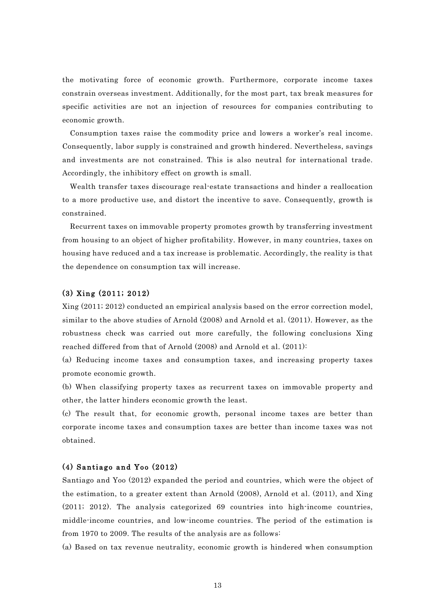the motivating force of economic growth. Furthermore, corporate income taxes constrain overseas investment. Additionally, for the most part, tax break measures for specific activities are not an injection of resources for companies contributing to economic growth.

Consumption taxes raise the commodity price and lowers a worker's real income. Consequently, labor supply is constrained and growth hindered. Nevertheless, savings and investments are not constrained. This is also neutral for international trade. Accordingly, the inhibitory effect on growth is small.

Wealth transfer taxes discourage real-estate transactions and hinder a reallocation to a more productive use, and distort the incentive to save. Consequently, growth is constrained.

Recurrent taxes on immovable property promotes growth by transferring investment from housing to an object of higher profitability. However, in many countries, taxes on housing have reduced and a tax increase is problematic. Accordingly, the reality is that the dependence on consumption tax will increase.

## (3) Xing (2011; 2012)

Xing (2011; 2012) conducted an empirical analysis based on the error correction model, similar to the above studies of Arnold (2008) and Arnold et al. (2011). However, as the robustness check was carried out more carefully, the following conclusions Xing reached differed from that of Arnold (2008) and Arnold et al. (2011):

(a) Reducing income taxes and consumption taxes, and increasing property taxes promote economic growth.

(b) When classifying property taxes as recurrent taxes on immovable property and other, the latter hinders economic growth the least.

(c) The result that, for economic growth, personal income taxes are better than corporate income taxes and consumption taxes are better than income taxes was not obtained.

### (4) Santiago and Yoo (2012)

Santiago and Yoo (2012) expanded the period and countries, which were the object of the estimation, to a greater extent than Arnold (2008), Arnold et al. (2011), and Xing (2011; 2012). The analysis categorized 69 countries into high-income countries, middle-income countries, and low-income countries. The period of the estimation is from 1970 to 2009. The results of the analysis are as follows:

(a) Based on tax revenue neutrality, economic growth is hindered when consumption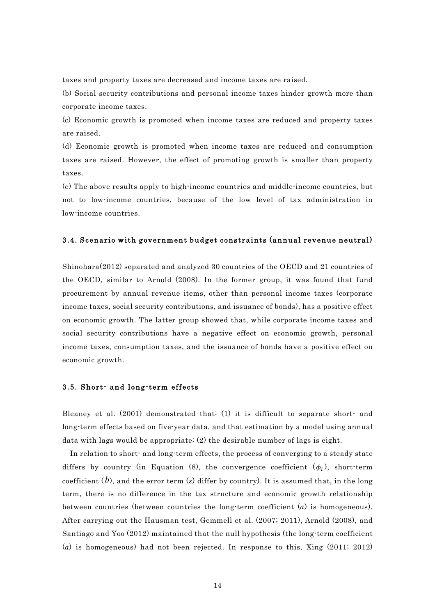taxes and property taxes are decreased and income taxes are raised.

(b) Social security contributions and personal income taxes hinder growth more than corporate income taxes.

(c) Economic growth is promoted when income taxes are reduced and property taxes are raised.

(d) Economic growth is promoted when income taxes are reduced and consumption taxes are raised. However, the effect of promoting growth is smaller than property taxes.

(e) The above results apply to high-income countries and middle-income countries, but not to low-income countries, because of the low level of tax administration in low-income countries.

### 3.4. Scenario with government budget constraints (annual revenue neutral)

Shinohara(2012) separated and analyzed 30 countries of the OECD and 21 countries of the OECD, similar to Arnold (2008). In the former group, it was found that fund procurement by annual revenue items, other than personal income taxes (corporate income taxes, social security contributions, and issuance of bonds), has a positive effect on economic growth. The latter group showed that, while corporate income taxes and social security contributions have a negative effect on economic growth, personal income taxes, consumption taxes, and the issuance of bonds have a positive effect on economic growth.

## 3.5. Short- and long-term effects

Bleaney et al. (2001) demonstrated that: (1) it is difficult to separate short- and long-term effects based on five-year data, and that estimation by a model using annual data with lags would be appropriate; (2) the desirable number of lags is eight.

In relation to short- and long-term effects, the process of converging to a steady state differs by country (in Equation (8), the convergence coefficient  $(\phi_i)$ , short-term coefficient (b), and the error term ( $\varepsilon$ ) differ by country). It is assumed that, in the long term, there is no difference in the tax structure and economic growth relationship between countries (between countries the long-term coefficient  $(a)$  is homogeneous). After carrying out the Hausman test, Gemmell et al. (2007; 2011), Arnold (2008), and Santiago and Yoo (2012) maintained that the null hypothesis (the long-term coefficient (a) is homogeneous) had not been rejected. In response to this, Xing  $(2011; 2012)$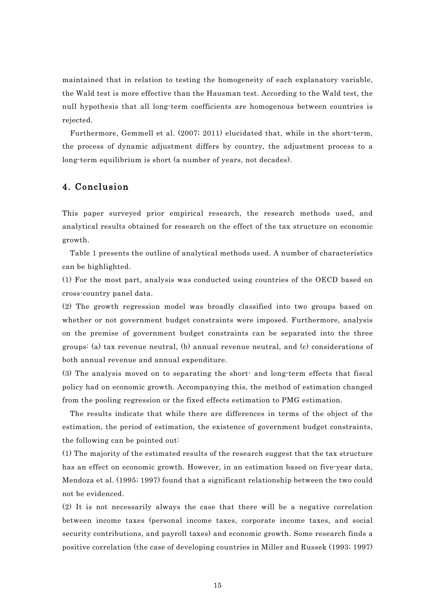maintained that in relation to testing the homogeneity of each explanatory variable, the Wald test is more effective than the Hausman test. According to the Wald test, the null hypothesis that all long-term coefficients are homogenous between countries is rejected.

Furthermore, Gemmell et al. (2007; 2011) elucidated that, while in the short-term, the process of dynamic adjustment differs by country, the adjustment process to a long-term equilibrium is short (a number of years, not decades).

## 4. Conclusion

This paper surveyed prior empirical research, the research methods used, and analytical results obtained for research on the effect of the tax structure on economic growth.

Table 1 presents the outline of analytical methods used. A number of characteristics can be highlighted.

(1) For the most part, analysis was conducted using countries of the OECD based on cross-country panel data.

(2) The growth regression model was broadly classified into two groups based on whether or not government budget constraints were imposed. Furthermore, analysis on the premise of government budget constraints can be separated into the three groups: (a) tax revenue neutral, (b) annual revenue neutral, and (c) considerations of both annual revenue and annual expenditure.

(3) The analysis moved on to separating the short- and long-term effects that fiscal policy had on economic growth. Accompanying this, the method of estimation changed from the pooling regression or the fixed effects estimation to PMG estimation.

The results indicate that while there are differences in terms of the object of the estimation, the period of estimation, the existence of government budget constraints, the following can be pointed out:

(1) The majority of the estimated results of the research suggest that the tax structure has an effect on economic growth. However, in an estimation based on five-year data, Mendoza et al. (1995; 1997) found that a significant relationship between the two could not be evidenced.

(2) It is not necessarily always the case that there will be a negative correlation between income taxes (personal income taxes, corporate income taxes, and social security contributions, and payroll taxes) and economic growth. Some research finds a positive correlation (the case of developing countries in Miller and Russek (1993; 1997)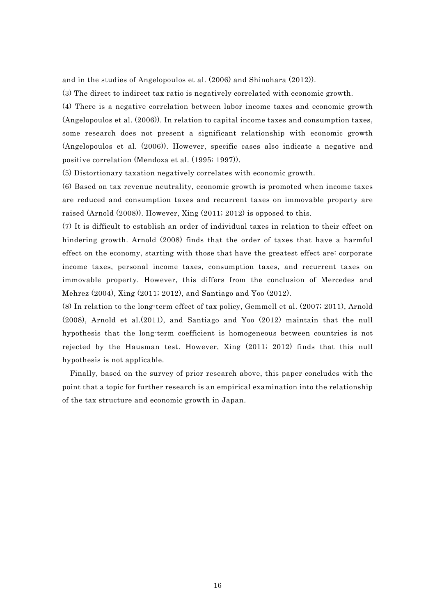and in the studies of Angelopoulos et al. (2006) and Shinohara (2012)).

(3) The direct to indirect tax ratio is negatively correlated with economic growth.

(4) There is a negative correlation between labor income taxes and economic growth (Angelopoulos et al. (2006)). In relation to capital income taxes and consumption taxes, some research does not present a significant relationship with economic growth (Angelopoulos et al. (2006)). However, specific cases also indicate a negative and positive correlation (Mendoza et al. (1995; 1997)).

(5) Distortionary taxation negatively correlates with economic growth.

(6) Based on tax revenue neutrality, economic growth is promoted when income taxes are reduced and consumption taxes and recurrent taxes on immovable property are raised (Arnold (2008)). However, Xing (2011; 2012) is opposed to this.

(7) It is difficult to establish an order of individual taxes in relation to their effect on hindering growth. Arnold (2008) finds that the order of taxes that have a harmful effect on the economy, starting with those that have the greatest effect are: corporate income taxes, personal income taxes, consumption taxes, and recurrent taxes on immovable property. However, this differs from the conclusion of Mercedes and Mehrez (2004), Xing (2011; 2012), and Santiago and Yoo (2012).

(8) In relation to the long-term effect of tax policy, Gemmell et al. (2007; 2011), Arnold (2008), Arnold et al.(2011), and Santiago and Yoo (2012) maintain that the null hypothesis that the long-term coefficient is homogeneous between countries is not rejected by the Hausman test. However, Xing (2011; 2012) finds that this null hypothesis is not applicable.

Finally, based on the survey of prior research above, this paper concludes with the point that a topic for further research is an empirical examination into the relationship of the tax structure and economic growth in Japan.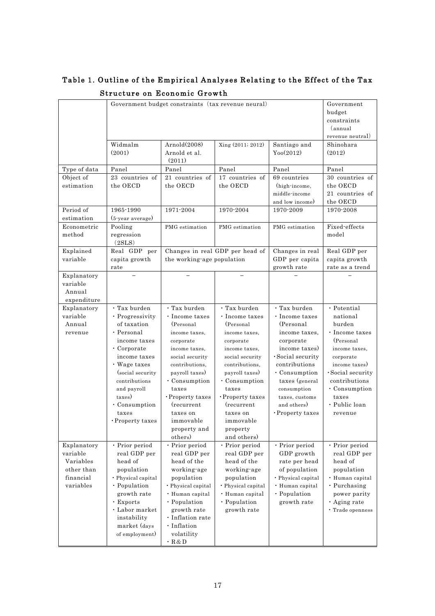|                                                                              | Government budget constraints (tax revenue neural)                                                                                                                                                                                                         | Government<br>budget<br>constraints<br>(annual<br>revenue neutral)                                                                                                                                                                                                            |                                                                                                                                                                                                                                                                           |                                                                                                                                                                                                                                                     |                                                                                                                                                                                                                         |
|------------------------------------------------------------------------------|------------------------------------------------------------------------------------------------------------------------------------------------------------------------------------------------------------------------------------------------------------|-------------------------------------------------------------------------------------------------------------------------------------------------------------------------------------------------------------------------------------------------------------------------------|---------------------------------------------------------------------------------------------------------------------------------------------------------------------------------------------------------------------------------------------------------------------------|-----------------------------------------------------------------------------------------------------------------------------------------------------------------------------------------------------------------------------------------------------|-------------------------------------------------------------------------------------------------------------------------------------------------------------------------------------------------------------------------|
|                                                                              | Widmalm<br>(2001)                                                                                                                                                                                                                                          | Arnold(2008)<br>Arnold et al.<br>(2011)                                                                                                                                                                                                                                       | Xing (2011; 2012)                                                                                                                                                                                                                                                         | Santiago and<br>$Y_{00}(2012)$                                                                                                                                                                                                                      | Shinohara<br>(2012)                                                                                                                                                                                                     |
| Type of data                                                                 | Panel                                                                                                                                                                                                                                                      | Panel                                                                                                                                                                                                                                                                         | Panel                                                                                                                                                                                                                                                                     | Panel                                                                                                                                                                                                                                               | Panel                                                                                                                                                                                                                   |
| Object of<br>estimation                                                      | 23 countries of<br>the OECD                                                                                                                                                                                                                                | 21 countries of<br>the OECD                                                                                                                                                                                                                                                   | 17 countries of<br>the OECD                                                                                                                                                                                                                                               | 69 countries<br>(high-income,<br>middle-income<br>and low income)                                                                                                                                                                                   | 30 countries of<br>the OECD<br>21 countries of<br>the OECD                                                                                                                                                              |
| Period of<br>estimation                                                      | 1965-1990<br>(5-year average)                                                                                                                                                                                                                              | 1971-2004<br>1970-2004                                                                                                                                                                                                                                                        |                                                                                                                                                                                                                                                                           | 1970-2009                                                                                                                                                                                                                                           | 1970-2008                                                                                                                                                                                                               |
| Econometric<br>method                                                        | Pooling<br>regression<br>(2SLS)                                                                                                                                                                                                                            | PMG estimation                                                                                                                                                                                                                                                                | PMG estimation                                                                                                                                                                                                                                                            | PMG estimation                                                                                                                                                                                                                                      | Fixed effects<br>model                                                                                                                                                                                                  |
| Explained<br>variable                                                        | Real GDP per<br>capita growth<br>rate                                                                                                                                                                                                                      | Changes in real GDP per head of<br>the working-age population                                                                                                                                                                                                                 |                                                                                                                                                                                                                                                                           | Changes in real<br>GDP per capita<br>growth rate                                                                                                                                                                                                    | Real GDP per<br>capita growth<br>rate as a trend                                                                                                                                                                        |
| Explanatory<br>variable<br>Annual<br>expenditure                             |                                                                                                                                                                                                                                                            |                                                                                                                                                                                                                                                                               |                                                                                                                                                                                                                                                                           |                                                                                                                                                                                                                                                     |                                                                                                                                                                                                                         |
| Explanatory<br>variable<br>Annual<br>revenue                                 | · Tax burden<br>· Progressivity<br>of taxation<br>$\cdot$ Personal<br>income taxes<br>$\cdot$ Corporate<br>income taxes<br>• Wage taxes<br>(social security)<br>contributions<br>and payroll<br>taxes)<br>$\cdot$ Consumption<br>taxes<br>· Property taxes | $\cdot$ Tax burden<br>· Income taxes<br>(Personal<br>income taxes,<br>corporate<br>income taxes,<br>social security<br>contributions,<br>payroll taxes)<br>$\cdot$ Consumption<br>taxes<br>· Property taxes<br>(recurrent<br>taxes on<br>immovable<br>property and<br>others) | · Tax burden<br>· Income taxes<br>(Personal)<br>income taxes,<br>corporate<br>income taxes,<br>social security<br>contributions.<br>payroll taxes)<br>$\cdot$ Consumption<br>taxes<br>· Property taxes<br>(recurrent)<br>taxes on<br>immovable<br>property<br>and others) | · Tax burden<br>· Income taxes<br>(Personal<br>income taxes,<br>corporate<br>income taxes)<br>$\cdot$ Social security<br>contributions<br>$\cdot$ Consumption<br>taxes (general<br>consumption<br>taxes, customs<br>and others)<br>· Property taxes | $\cdot$ Potential<br>national<br>burden<br>· Income taxes<br>(Personal<br>income taxes.<br>corporate<br>income taxes)<br>$\cdot$ Social security<br>contributions<br>· Consumption<br>taxes<br>• Public loan<br>revenue |
| Explanatory<br>variable<br>Variables<br>other than<br>financial<br>variables | · Prior period<br>real GDP per<br>head of<br>population<br>· Physical capital<br>· Population<br>growth rate<br>• Exports<br>· Labor market<br>instability<br>market (days<br>of employment)                                                               | · Prior period<br>real GDP per<br>head of the<br>working-age<br>population<br>· Physical capital<br>· Human capital<br>· Population<br>growth rate<br>· Inflation rate<br>· Inflation<br>volatility<br>$\cdot$ R&D                                                            | · Prior period<br>real GDP per<br>head of the<br>working-age<br>population<br>· Physical capital<br>· Human capital<br>· Population<br>growth rate                                                                                                                        | · Prior period<br>GDP growth<br>rate per head<br>of population<br>· Physical capital<br>· Human capital<br>· Population<br>growth rate                                                                                                              | · Prior period<br>real GDP per<br>head of<br>population<br>· Human capital<br>· Purchasing<br>power parity<br>· Aging rate<br>· Trade openness                                                                          |

## Table 1. Outline of the Empirical Analyses Relating to the Effect of the Tax Structure on Economic Growth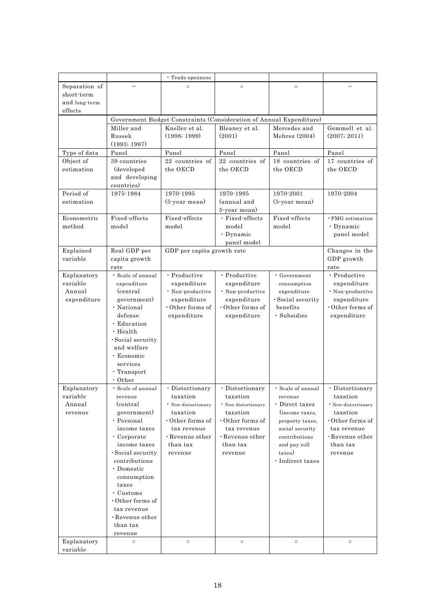|                       |                                    | • Trade openness                                                                      |                                 |                                  |                                 |
|-----------------------|------------------------------------|---------------------------------------------------------------------------------------|---------------------------------|----------------------------------|---------------------------------|
| Separation of         |                                    | $\circ$                                                                               | $\circ$                         | $\circ$                          |                                 |
| short-term            |                                    |                                                                                       |                                 |                                  |                                 |
| and long-term         |                                    |                                                                                       |                                 |                                  |                                 |
| $_{\rm effects}$      |                                    |                                                                                       |                                 |                                  |                                 |
|                       | Miller and                         | Government Budget Constraints (Consideration of Annual Expenditure)<br>Kneller et al. |                                 | Mercedes and                     | Gemmell et al.                  |
|                       | Russek                             | (1998; 1999)                                                                          | Bleaney et al.<br>(2001)        | Mehrez $(2004)$                  | (2007; 2011)                    |
|                       | (1993; 1997)                       |                                                                                       |                                 |                                  |                                 |
| Type of data          | Panel                              | Panel                                                                                 | Panel                           | Panel                            | Panel                           |
| Object of             | 39 countries                       | 22 countries of                                                                       | 22 countries of                 | 18 countries of                  | 17 countries of                 |
| estimation            | (developed                         | the OECD                                                                              | the OECD                        | the OECD                         | the OECD                        |
|                       | and developing                     |                                                                                       |                                 |                                  |                                 |
|                       | countries)                         |                                                                                       |                                 |                                  |                                 |
| Period of             | 1975-1984                          | 1970-1995                                                                             | 1970-1995                       | 1970-2001                        | 1970-2004                       |
| estimation            |                                    | $(5$ -year mean)                                                                      | (annual and                     | $(5$ -year mean)                 |                                 |
| Econometric           | Fixed-effects                      | Fixed effects                                                                         | 5-year mean)<br>· Fixed-effects | Fixed-effects                    | · PMG estimation                |
| method                | model                              | model                                                                                 | model                           | model                            | $\cdot$ Dynamic                 |
|                       |                                    |                                                                                       | · Dynamic                       |                                  | panel model                     |
|                       |                                    |                                                                                       | panel model                     |                                  |                                 |
| Explained             | Real GDP per                       | GDP per capita growth rate                                                            |                                 |                                  | Changes in the                  |
| variable              | capita growth                      |                                                                                       |                                 |                                  | GDP growth                      |
|                       | rate                               |                                                                                       |                                 |                                  | rate                            |
| Explanatory           | · Scale of annual                  | · Productive                                                                          | · Productive                    | · Government                     | · Productive                    |
| variable              | expenditure                        | expenditure                                                                           | expenditure                     | consumption                      | expenditure                     |
| Annual<br>expenditure | (central)<br>government)           | · Non-productive<br>expenditure                                                       | · Non-productive<br>expenditure | expenditure<br>· Social security | · Non-productive<br>expenditure |
|                       | · National                         | $\cdot$ Other forms of                                                                | $\cdot$ Other forms of          | benefits                         | $\cdot$ Other forms of          |
|                       | defense                            | expenditure                                                                           | expenditure                     | · Subsidies                      | expenditure                     |
|                       | · Education                        |                                                                                       |                                 |                                  |                                 |
|                       | $\cdot$ Health                     |                                                                                       |                                 |                                  |                                 |
|                       | · Social security                  |                                                                                       |                                 |                                  |                                 |
|                       | and welfare                        |                                                                                       |                                 |                                  |                                 |
|                       | · Economic                         |                                                                                       |                                 |                                  |                                 |
|                       | services                           |                                                                                       |                                 |                                  |                                 |
|                       | $\cdot$ Transport<br>$\cdot$ Other |                                                                                       |                                 |                                  |                                 |
| Explanatory           | · Scale of annual                  | · Distortionary                                                                       | · Distortionary                 | · Scale of annual                | · Distortionary                 |
| variable              | revenue                            | taxation                                                                              | taxation                        | revenue                          | taxation                        |
| Annual                | (central                           | · Non-distortionary                                                                   | * Non-distortionary             | · Direct taxes                   | · Non-distortionary             |
| revenue               | government)                        | taxation                                                                              | taxation                        | (income taxes,                   | taxation                        |
|                       | · Personal                         | $\cdot$ Other forms of                                                                | $\cdot$ Other forms of          | property taxes,                  | $\cdot$ Other forms of          |
|                       | income taxes                       | tax revenue                                                                           | tax revenue                     | social security                  | tax revenue                     |
|                       | $\cdot$ Corporate                  | $\cdot$ Revenue other                                                                 | $\cdot$ Revenue other           | contributions                    | $\cdot$ Revenue other           |
|                       | income taxes                       | than tax                                                                              | than tax                        | and pay roll                     | than tax                        |
|                       | $\cdot$ Social security            | revenue                                                                               | revenue                         | taxes)                           | revenue                         |
|                       | contributions                      |                                                                                       |                                 | · Indirect taxes                 |                                 |
|                       | · Domestic<br>consumption          |                                                                                       |                                 |                                  |                                 |
|                       | taxes                              |                                                                                       |                                 |                                  |                                 |
|                       | $\cdot$ Customs                    |                                                                                       |                                 |                                  |                                 |
|                       | $\cdot$ Other forms of             |                                                                                       |                                 |                                  |                                 |
|                       | tax revenue                        |                                                                                       |                                 |                                  |                                 |
|                       | $\cdot$ Revenue other              |                                                                                       |                                 |                                  |                                 |
|                       | than tax                           |                                                                                       |                                 |                                  |                                 |
|                       | revenue                            |                                                                                       |                                 |                                  |                                 |
| Explanatory           | $\circ$                            | $\circ$                                                                               | $\circ$                         | $\circ$                          | $\circ$                         |
| variable              |                                    |                                                                                       |                                 |                                  |                                 |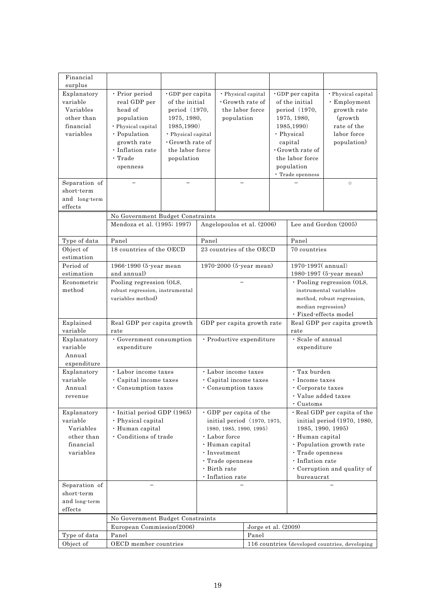| Financial                                                                               |                                                                                                                                                                     |                                                                                                                                                                          |                                                                                                                                                                                                     |                                                                               |                                                                                                                                                                                                                                         |                                                                                                                                                                                                 |                                                                                                     |                                                                                                                  |
|-----------------------------------------------------------------------------------------|---------------------------------------------------------------------------------------------------------------------------------------------------------------------|--------------------------------------------------------------------------------------------------------------------------------------------------------------------------|-----------------------------------------------------------------------------------------------------------------------------------------------------------------------------------------------------|-------------------------------------------------------------------------------|-----------------------------------------------------------------------------------------------------------------------------------------------------------------------------------------------------------------------------------------|-------------------------------------------------------------------------------------------------------------------------------------------------------------------------------------------------|-----------------------------------------------------------------------------------------------------|------------------------------------------------------------------------------------------------------------------|
| surplus<br>Explanatory<br>variable<br>Variables<br>other than<br>financial<br>variables | · Prior period<br>real GDP per<br>head of<br>population<br>· Physical capital<br>· Population<br>growth rate<br>$\cdot$ Inflation rate<br>$\cdot$ Trade<br>openness | $\cdot$ GDP per capita<br>of the initial<br>period (1970,<br>1975, 1980,<br>1985, 1990)<br>· Physical capital<br>$\cdot$ Growth rate of<br>the labor force<br>population |                                                                                                                                                                                                     | • Physical capital<br>$\cdot$ Growth rate of<br>the labor force<br>population |                                                                                                                                                                                                                                         | $\cdot$ GDP per capita<br>of the initial<br>period (1970,<br>1975, 1980,<br>1985, 1990)<br>· Physical<br>capital<br>· Growth rate of<br>the labor force<br>population<br>$\cdot$ Trade openness |                                                                                                     | · Physical capital<br>$\cdot$ Employment<br>growth rate<br>(growth)<br>rate of the<br>labor force<br>population) |
| Separation of<br>short-term<br>and long-term<br>effects                                 |                                                                                                                                                                     |                                                                                                                                                                          |                                                                                                                                                                                                     |                                                                               |                                                                                                                                                                                                                                         |                                                                                                                                                                                                 |                                                                                                     | $\circ$                                                                                                          |
|                                                                                         | No Government Budget Constraints                                                                                                                                    |                                                                                                                                                                          |                                                                                                                                                                                                     |                                                                               |                                                                                                                                                                                                                                         |                                                                                                                                                                                                 |                                                                                                     |                                                                                                                  |
|                                                                                         |                                                                                                                                                                     | Mendoza et al. (1995; 1997)                                                                                                                                              |                                                                                                                                                                                                     | Angelopoulos et al. (2006)                                                    |                                                                                                                                                                                                                                         |                                                                                                                                                                                                 | Lee and Gordon (2005)                                                                               |                                                                                                                  |
| Type of data                                                                            | Panel                                                                                                                                                               |                                                                                                                                                                          | Panel                                                                                                                                                                                               |                                                                               |                                                                                                                                                                                                                                         |                                                                                                                                                                                                 | Panel                                                                                               |                                                                                                                  |
| Object of<br>estimation                                                                 | 18 countries of the OECD                                                                                                                                            |                                                                                                                                                                          |                                                                                                                                                                                                     | 23 countries of the OECD                                                      |                                                                                                                                                                                                                                         |                                                                                                                                                                                                 | 70 countries                                                                                        |                                                                                                                  |
| Period of                                                                               | 1966-1990 (5-year mean                                                                                                                                              |                                                                                                                                                                          | 1970-2000 (5-year mean)                                                                                                                                                                             |                                                                               |                                                                                                                                                                                                                                         |                                                                                                                                                                                                 | 1970-1997(annual)                                                                                   |                                                                                                                  |
| estimation<br>Econometric                                                               | and annual)                                                                                                                                                         |                                                                                                                                                                          |                                                                                                                                                                                                     |                                                                               |                                                                                                                                                                                                                                         |                                                                                                                                                                                                 | 1980-1997 (5-year mean)<br>· Pooling regression (OLS,                                               |                                                                                                                  |
| method                                                                                  | Pooling regression (OLS,<br>robust regression, instrumental<br>variables method)                                                                                    |                                                                                                                                                                          |                                                                                                                                                                                                     |                                                                               |                                                                                                                                                                                                                                         |                                                                                                                                                                                                 | instrumental variables<br>method, robust regression,<br>median regression)<br>· Fixed-effects model |                                                                                                                  |
| Explained<br>variable                                                                   | Real GDP per capita growth<br>rate                                                                                                                                  |                                                                                                                                                                          | GDP per capita growth rate                                                                                                                                                                          |                                                                               | Real GDP per capita growth<br>rate                                                                                                                                                                                                      |                                                                                                                                                                                                 |                                                                                                     |                                                                                                                  |
| Explanatory<br>variable<br>Annual<br>expenditure                                        | · Government consumption<br>expenditure                                                                                                                             |                                                                                                                                                                          | · Productive expenditure                                                                                                                                                                            |                                                                               | · Scale of annual<br>expenditure                                                                                                                                                                                                        |                                                                                                                                                                                                 |                                                                                                     |                                                                                                                  |
| Explanatory<br>variable<br>Annual<br>revenue                                            | · Labor income taxes<br>· Capital income taxes<br>• Consumption taxes                                                                                               |                                                                                                                                                                          | · Labor income taxes<br>· Capital income taxes<br>· Consumption taxes                                                                                                                               |                                                                               |                                                                                                                                                                                                                                         |                                                                                                                                                                                                 | $\cdot$ Tax burden<br>· Income taxes<br>• Corporate taxes<br>• Value added taxes                    |                                                                                                                  |
| Explanatory<br>variable<br>Variables<br>other than<br>financial<br>variables            | $\cdot$ Initial period GDP (1965)<br>· Physical capital<br>· Human capital<br>· Conditions of trade                                                                 |                                                                                                                                                                          | · GDP per capita of the<br>initial period (1970, 1975,<br>1980, 1985, 1990, 1995)<br>· Labor force<br>· Human capital<br>$\cdot$ Investment<br>· Trade openness<br>• Birth rate<br>· Inflation rate |                                                                               | $\cdot$ Customs<br>· Real GDP per capita of the<br>initial period (1970, 1980,<br>1985, 1990, 1995)<br>· Human capital<br>· Population growth rate<br>· Trade openness<br>· Inflation rate<br>· Corruption and quality of<br>bureaucrat |                                                                                                                                                                                                 |                                                                                                     |                                                                                                                  |
| Separation of<br>short-term<br>and long-term<br>effects                                 |                                                                                                                                                                     |                                                                                                                                                                          |                                                                                                                                                                                                     |                                                                               |                                                                                                                                                                                                                                         |                                                                                                                                                                                                 |                                                                                                     |                                                                                                                  |
|                                                                                         | No Government Budget Constraints                                                                                                                                    |                                                                                                                                                                          |                                                                                                                                                                                                     |                                                                               |                                                                                                                                                                                                                                         |                                                                                                                                                                                                 |                                                                                                     |                                                                                                                  |
|                                                                                         |                                                                                                                                                                     | European Commission(2006)                                                                                                                                                |                                                                                                                                                                                                     |                                                                               | Jorge et al. $(2009)$                                                                                                                                                                                                                   |                                                                                                                                                                                                 |                                                                                                     |                                                                                                                  |
| Type of data                                                                            | Panel                                                                                                                                                               |                                                                                                                                                                          |                                                                                                                                                                                                     | Panel                                                                         |                                                                                                                                                                                                                                         |                                                                                                                                                                                                 |                                                                                                     |                                                                                                                  |
| Object of                                                                               | OECD member countries                                                                                                                                               |                                                                                                                                                                          |                                                                                                                                                                                                     |                                                                               | 116 countries (developed countries, developing                                                                                                                                                                                          |                                                                                                                                                                                                 |                                                                                                     |                                                                                                                  |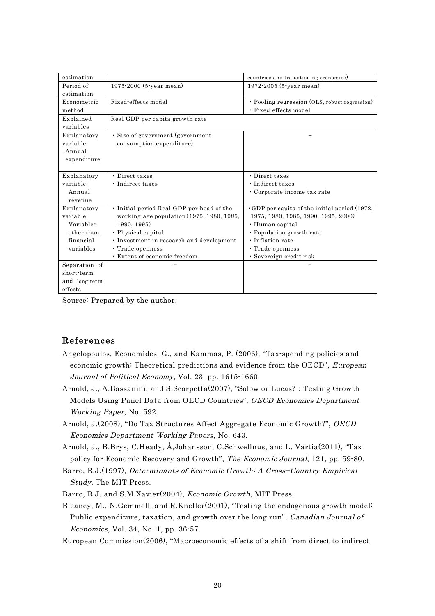| estimation    |                                           | countries and transitioning economies)              |
|---------------|-------------------------------------------|-----------------------------------------------------|
| Period of     | 1975-2000 (5-year mean)                   | 1972-2005 (5-year mean)                             |
| estimation    |                                           |                                                     |
| Econometric   | Fixed-effects model                       | • Pooling regression (OLS, robust regression)       |
| method        |                                           | · Fixed-effects model                               |
| Explained     | Real GDP per capita growth rate           |                                                     |
| variables     |                                           |                                                     |
| Explanatory   | · Size of government (government          |                                                     |
| variable      | consumption expenditure)                  |                                                     |
| Annual        |                                           |                                                     |
| expenditure   |                                           |                                                     |
|               |                                           |                                                     |
| Explanatory   | • Direct taxes                            | • Direct taxes                                      |
| variable      | · Indirect taxes                          | · Indirect taxes                                    |
| Annual        |                                           | · Corporate income tax rate                         |
| revenue       |                                           |                                                     |
| Explanatory   | · Initial period Real GDP per head of the | $\cdot$ GDP per capita of the initial period (1972, |
| variable      | working-age population (1975, 1980, 1985, | 1975, 1980, 1985, 1990, 1995, 2000)                 |
| Variables     | 1990, 1995)                               | · Human capital                                     |
| other than    | · Physical capital                        | • Population growth rate                            |
| financial     | · Investment in research and development  | • Inflation rate                                    |
| variables     | · Trade openness                          | · Trade openness                                    |
|               | · Extent of economic freedom              | · Sovereign credit risk                             |
| Separation of |                                           |                                                     |
| short-term    |                                           |                                                     |
| and long-term |                                           |                                                     |
| effects       |                                           |                                                     |

Source: Prepared by the author.

## References

- Angelopoulos, Economides, G., and Kammas, P. (2006), "Tax-spending policies and economic growth: Theoretical predictions and evidence from the OECD", European Journal of Political Economy, Vol. 23, pp. 1615-1660.
- Arnold, J., A.Bassanini, and S.Scarpetta(2007), "Solow or Lucas?: Testing Growth Models Using Panel Data from OECD Countries", OECD Economics Department Working Paper, No. 592.
- Arnold, J.(2008), "Do Tax Structures Affect Aggregate Economic Growth?", OECD Economics Department Working Papers, No. 643.
- Arnold, J., B.Brys, C.Heady, Å,Johansson, C.Schwellnus, and L. Vartia(2011), "Tax policy for Economic Recovery and Growth", The Economic Journal, 121, pp. 59-80.
- Barro, R.J.(1997), Determinants of Economic Growth: A Cross−Country Empirical Study, The MIT Press.
- Barro, R.J. and S.M.Xavier(2004), Economic Growth, MIT Press.
- Bleaney, M., N.Gemmell, and R.Kneller(2001), "Testing the endogenous growth model: Public expenditure, taxation, and growth over the long run", Canadian Journal of Economics, Vol. 34, No. 1, pp. 36-57.

European Commission(2006), "Macroeconomic effects of a shift from direct to indirect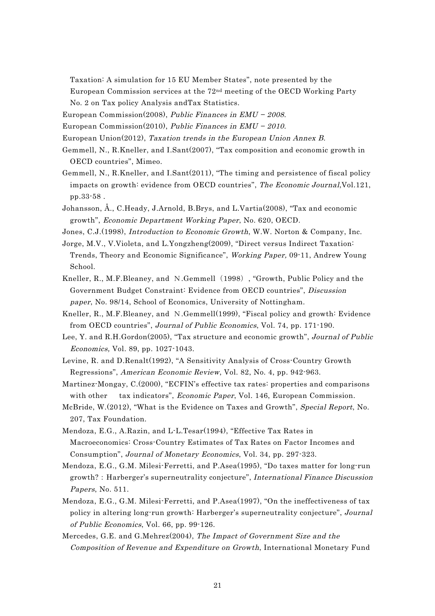Taxation: A simulation for 15 EU Member States", note presented by the European Commission services at the 72nd meeting of the OECD Working Party No. 2 on Tax policy Analysis andTax Statistics.

- European Commission(2008), Public Finances in EMU − 2008.
- European Commission(2010), Public Finances in EMU − 2010.
- European Union(2012), Taxation trends in the European Union Annex B.
- Gemmell, N., R.Kneller, and I.Sant(2007), "Tax composition and economic growth in OECD countries", Mimeo.
- Gemmell, N., R.Kneller, and I.Sant(2011), "The timing and persistence of fiscal policy impacts on growth: evidence from OECD countries", The Economic Journal,Vol.121, pp.33-58 .
- Johansson, Å., C.Heady, J.Arnold, B.Brys, and L.Vartia(2008), "Tax and economic growth", Economic Department Working Paper, No. 620, OECD.
- Jones, C.J.(1998), Introduction to Economic Growth, W.W. Norton & Company, Inc.
- Jorge, M.V., V.Violeta, and L.Yongzheng(2009), "Direct versus Indirect Taxation: Trends, Theory and Economic Significance", Working Paper, 09-11, Andrew Young School.
- Kneller, R., M.F.Bleaney, and N.Gemmell(1998), "Growth, Public Policy and the Government Budget Constraint: Evidence from OECD countries", Discussion paper, No. 98/14, School of Economics, University of Nottingham.
- Kneller, R., M.F.Bleaney, and N.Gemmell(1999), "Fiscal policy and growth: Evidence from OECD countries", Journal of Public Economics, Vol. 74, pp. 171-190.
- Lee, Y. and R.H.Gordon(2005), "Tax structure and economic growth", Journal of Public Economics, Vol. 89, pp. 1027-1043.
- Levine, R. and D.Renalt(1992), "A Sensitivity Analysis of Cross-Country Growth Regressions", American Economic Review, Vol. 82, No. 4, pp. 942-963.
- Martinez-Mongay, C.(2000), "ECFIN's effective tax rates: properties and comparisons with other tax indicators", *Economic Paper*, Vol. 146, European Commission.
- McBride, W.(2012), "What is the Evidence on Taxes and Growth", Special Report, No. 207, Tax Foundation.
- Mendoza, E.G., A.Razin, and L-L.Tesar(1994), "Effective Tax Rates in Macroeconomics: Cross-Country Estimates of Tax Rates on Factor Incomes and Consumption", Journal of Monetary Economics, Vol. 34, pp. 297-323.
- Mendoza, E.G., G.M. Milesi-Ferretti, and P.Asea(1995), "Do taxes matter for long-run growth?: Harberger's superneutrality conjecture", International Finance Discussion Papers, No. 511.
- Mendoza, E.G., G.M. Milesi-Ferretti, and P.Asea(1997), "On the ineffectiveness of tax policy in altering long-run growth: Harberger's superneutrality conjecture", Journal of Public Economics, Vol. 66, pp. 99-126.
- Mercedes, G.E. and G.Mehrez(2004), The Impact of Government Size and the Composition of Revenue and Expenditure on Growth, International Monetary Fund